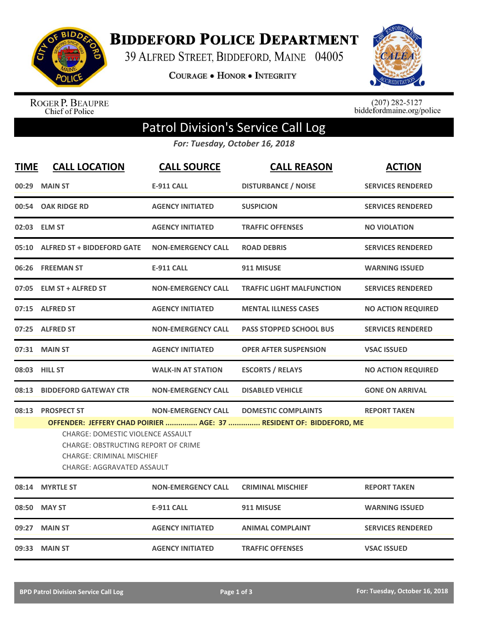

**BIDDEFORD POLICE DEPARTMENT** 

39 ALFRED STREET, BIDDEFORD, MAINE 04005

**COURAGE . HONOR . INTEGRITY** 



ROGER P. BEAUPRE Chief of Police

 $(207)$  282-5127<br>biddefordmaine.org/police

## Patrol Division's Service Call Log

*For: Tuesday, October 16, 2018*

| <b>TIME</b> | <b>CALL LOCATION</b>                                                                                                                                                                                                                                                                                                                          | <b>CALL SOURCE</b>        | <b>CALL REASON</b>               | <b>ACTION</b>             |
|-------------|-----------------------------------------------------------------------------------------------------------------------------------------------------------------------------------------------------------------------------------------------------------------------------------------------------------------------------------------------|---------------------------|----------------------------------|---------------------------|
|             | 00:29 MAIN ST                                                                                                                                                                                                                                                                                                                                 | <b>E-911 CALL</b>         | <b>DISTURBANCE / NOISE</b>       | <b>SERVICES RENDERED</b>  |
|             | 00:54 OAK RIDGE RD                                                                                                                                                                                                                                                                                                                            | <b>AGENCY INITIATED</b>   | <b>SUSPICION</b>                 | <b>SERVICES RENDERED</b>  |
|             | 02:03 ELM ST                                                                                                                                                                                                                                                                                                                                  | <b>AGENCY INITIATED</b>   | <b>TRAFFIC OFFENSES</b>          | <b>NO VIOLATION</b>       |
|             | 05:10 ALFRED ST + BIDDEFORD GATE                                                                                                                                                                                                                                                                                                              | <b>NON-EMERGENCY CALL</b> | <b>ROAD DEBRIS</b>               | <b>SERVICES RENDERED</b>  |
|             | 06:26 FREEMAN ST                                                                                                                                                                                                                                                                                                                              | <b>E-911 CALL</b>         | 911 MISUSE                       | <b>WARNING ISSUED</b>     |
|             | 07:05 ELM ST + ALFRED ST                                                                                                                                                                                                                                                                                                                      | <b>NON-EMERGENCY CALL</b> | <b>TRAFFIC LIGHT MALFUNCTION</b> | <b>SERVICES RENDERED</b>  |
|             | 07:15 ALFRED ST                                                                                                                                                                                                                                                                                                                               | <b>AGENCY INITIATED</b>   | <b>MENTAL ILLNESS CASES</b>      | <b>NO ACTION REQUIRED</b> |
|             | 07:25 ALFRED ST                                                                                                                                                                                                                                                                                                                               | <b>NON-EMERGENCY CALL</b> | <b>PASS STOPPED SCHOOL BUS</b>   | <b>SERVICES RENDERED</b>  |
|             | 07:31 MAIN ST                                                                                                                                                                                                                                                                                                                                 | <b>AGENCY INITIATED</b>   | <b>OPER AFTER SUSPENSION</b>     | <b>VSAC ISSUED</b>        |
|             | 08:03 HILL ST                                                                                                                                                                                                                                                                                                                                 | <b>WALK-IN AT STATION</b> | <b>ESCORTS / RELAYS</b>          | <b>NO ACTION REQUIRED</b> |
| 08:13       | <b>BIDDEFORD GATEWAY CTR</b>                                                                                                                                                                                                                                                                                                                  | <b>NON-EMERGENCY CALL</b> | <b>DISABLED VEHICLE</b>          | <b>GONE ON ARRIVAL</b>    |
|             | 08:13 PROSPECT ST<br><b>NON-EMERGENCY CALL</b><br><b>DOMESTIC COMPLAINTS</b><br><b>REPORT TAKEN</b><br>OFFENDER: JEFFERY CHAD POIRIER  AGE: 37  RESIDENT OF: BIDDEFORD, ME<br><b>CHARGE: DOMESTIC VIOLENCE ASSAULT</b><br><b>CHARGE: OBSTRUCTING REPORT OF CRIME</b><br><b>CHARGE: CRIMINAL MISCHIEF</b><br><b>CHARGE: AGGRAVATED ASSAULT</b> |                           |                                  |                           |
|             | 08:14 MYRTLE ST                                                                                                                                                                                                                                                                                                                               | <b>NON-EMERGENCY CALL</b> | <b>CRIMINAL MISCHIEF</b>         | <b>REPORT TAKEN</b>       |
|             | 08:50 MAY ST                                                                                                                                                                                                                                                                                                                                  | <b>E-911 CALL</b>         | 911 MISUSE                       | <b>WARNING ISSUED</b>     |
|             | 09:27 MAIN ST                                                                                                                                                                                                                                                                                                                                 | <b>AGENCY INITIATED</b>   | <b>ANIMAL COMPLAINT</b>          | <b>SERVICES RENDERED</b>  |
|             | 09:33 MAIN ST                                                                                                                                                                                                                                                                                                                                 | <b>AGENCY INITIATED</b>   | <b>TRAFFIC OFFENSES</b>          | <b>VSAC ISSUED</b>        |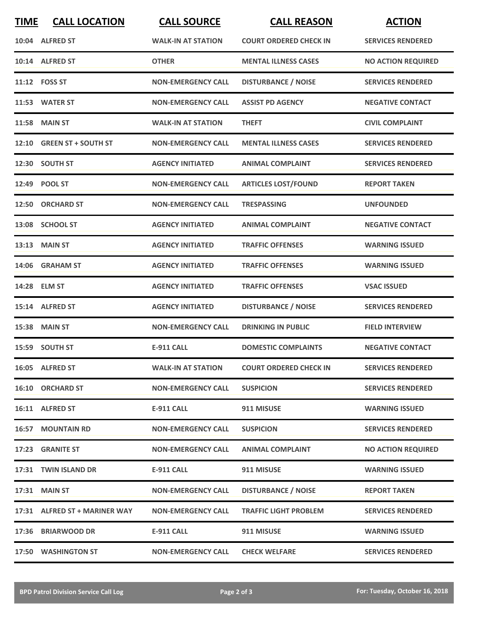| <b>TIME</b> | <b>CALL LOCATION</b>          | <b>CALL SOURCE</b>        | <b>CALL REASON</b>            | <b>ACTION</b>             |
|-------------|-------------------------------|---------------------------|-------------------------------|---------------------------|
|             | 10:04 ALFRED ST               | <b>WALK-IN AT STATION</b> | <b>COURT ORDERED CHECK IN</b> | <b>SERVICES RENDERED</b>  |
|             | 10:14 ALFRED ST               | <b>OTHER</b>              | <b>MENTAL ILLNESS CASES</b>   | <b>NO ACTION REQUIRED</b> |
|             | 11:12 FOSS ST                 | <b>NON-EMERGENCY CALL</b> | <b>DISTURBANCE / NOISE</b>    | <b>SERVICES RENDERED</b>  |
|             | 11:53 WATER ST                | <b>NON-EMERGENCY CALL</b> | <b>ASSIST PD AGENCY</b>       | <b>NEGATIVE CONTACT</b>   |
|             | <b>11:58 MAIN ST</b>          | <b>WALK-IN AT STATION</b> | <b>THEFT</b>                  | <b>CIVIL COMPLAINT</b>    |
|             | 12:10 GREEN ST + SOUTH ST     | <b>NON-EMERGENCY CALL</b> | <b>MENTAL ILLNESS CASES</b>   | <b>SERVICES RENDERED</b>  |
| 12:30       | <b>SOUTH ST</b>               | <b>AGENCY INITIATED</b>   | <b>ANIMAL COMPLAINT</b>       | <b>SERVICES RENDERED</b>  |
|             | 12:49 POOL ST                 | <b>NON-EMERGENCY CALL</b> | <b>ARTICLES LOST/FOUND</b>    | <b>REPORT TAKEN</b>       |
|             | 12:50 ORCHARD ST              | <b>NON-EMERGENCY CALL</b> | <b>TRESPASSING</b>            | <b>UNFOUNDED</b>          |
|             | 13:08 SCHOOL ST               | <b>AGENCY INITIATED</b>   | <b>ANIMAL COMPLAINT</b>       | <b>NEGATIVE CONTACT</b>   |
|             | 13:13 MAIN ST                 | <b>AGENCY INITIATED</b>   | <b>TRAFFIC OFFENSES</b>       | <b>WARNING ISSUED</b>     |
| 14:06       | <b>GRAHAM ST</b>              | <b>AGENCY INITIATED</b>   | <b>TRAFFIC OFFENSES</b>       | <b>WARNING ISSUED</b>     |
|             | 14:28 ELM ST                  | <b>AGENCY INITIATED</b>   | <b>TRAFFIC OFFENSES</b>       | <b>VSAC ISSUED</b>        |
| 15:14       | <b>ALFRED ST</b>              | <b>AGENCY INITIATED</b>   | <b>DISTURBANCE / NOISE</b>    | <b>SERVICES RENDERED</b>  |
| 15:38       | <b>MAIN ST</b>                | <b>NON-EMERGENCY CALL</b> | <b>DRINKING IN PUBLIC</b>     | <b>FIELD INTERVIEW</b>    |
|             | 15:59 SOUTH ST                | <b>E-911 CALL</b>         | <b>DOMESTIC COMPLAINTS</b>    | <b>NEGATIVE CONTACT</b>   |
|             | 16:05 ALFRED ST               | <b>WALK-IN AT STATION</b> | <b>COURT ORDERED CHECK IN</b> | <b>SERVICES RENDERED</b>  |
|             | <b>16:10 ORCHARD ST</b>       | <b>NON-EMERGENCY CALL</b> | <b>SUSPICION</b>              | <b>SERVICES RENDERED</b>  |
|             | 16:11 ALFRED ST               | <b>E-911 CALL</b>         | 911 MISUSE                    | <b>WARNING ISSUED</b>     |
|             | <b>16:57 MOUNTAIN RD</b>      | <b>NON-EMERGENCY CALL</b> | <b>SUSPICION</b>              | <b>SERVICES RENDERED</b>  |
|             | 17:23 GRANITE ST              | <b>NON-EMERGENCY CALL</b> | <b>ANIMAL COMPLAINT</b>       | <b>NO ACTION REQUIRED</b> |
|             | 17:31 TWIN ISLAND DR          | E-911 CALL                | 911 MISUSE                    | <b>WARNING ISSUED</b>     |
|             | 17:31 MAIN ST                 | <b>NON-EMERGENCY CALL</b> | <b>DISTURBANCE / NOISE</b>    | <b>REPORT TAKEN</b>       |
|             | 17:31 ALFRED ST + MARINER WAY | <b>NON-EMERGENCY CALL</b> | <b>TRAFFIC LIGHT PROBLEM</b>  | <b>SERVICES RENDERED</b>  |
|             | 17:36 BRIARWOOD DR            | E-911 CALL                | 911 MISUSE                    | <b>WARNING ISSUED</b>     |
|             | 17:50 WASHINGTON ST           | <b>NON-EMERGENCY CALL</b> | <b>CHECK WELFARE</b>          | <b>SERVICES RENDERED</b>  |